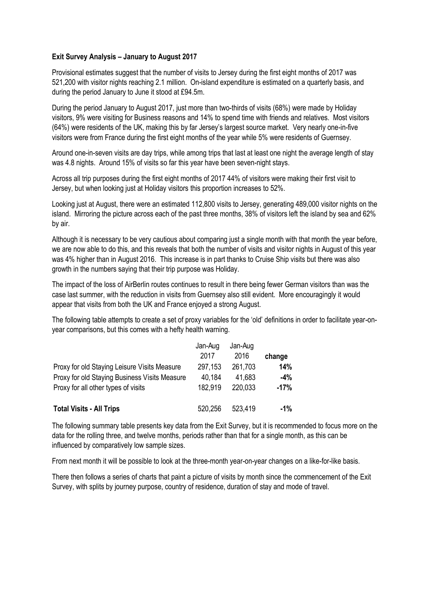## **Exit Survey Analysis – January to August 2017**

Provisional estimates suggest that the number of visits to Jersey during the first eight months of 2017 was 521,200 with visitor nights reaching 2.1 million. On-island expenditure is estimated on a quarterly basis, and during the period January to June it stood at £94.5m.

During the period January to August 2017, just more than two-thirds of visits (68%) were made by Holiday visitors, 9% were visiting for Business reasons and 14% to spend time with friends and relatives. Most visitors (64%) were residents of the UK, making this by far Jersey's largest source market. Very nearly one-in-five visitors were from France during the first eight months of the year while 5% were residents of Guernsey.

Around one-in-seven visits are day trips, while among trips that last at least one night the average length of stay was 4.8 nights. Around 15% of visits so far this year have been seven-night stays.

Across all trip purposes during the first eight months of 2017 44% of visitors were making their first visit to Jersey, but when looking just at Holiday visitors this proportion increases to 52%.

Looking just at August, there were an estimated 112,800 visits to Jersey, generating 489,000 visitor nights on the island. Mirroring the picture across each of the past three months, 38% of visitors left the island by sea and 62% by air.

Although it is necessary to be very cautious about comparing just a single month with that month the year before, we are now able to do this, and this reveals that both the number of visits and visitor nights in August of this year was 4% higher than in August 2016. This increase is in part thanks to Cruise Ship visits but there was also growth in the numbers saying that their trip purpose was Holiday.

The impact of the loss of AirBerlin routes continues to result in there being fewer German visitors than was the case last summer, with the reduction in visits from Guernsey also still evident. More encouragingly it would appear that visits from both the UK and France enjoyed a strong August.

The following table attempts to create a set of proxy variables for the 'old' definitions in order to facilitate year-onyear comparisons, but this comes with a hefty health warning.

|                                               | Jan-Aug | Jan-Aug |        |
|-----------------------------------------------|---------|---------|--------|
|                                               | 2017    | 2016    | change |
| Proxy for old Staying Leisure Visits Measure  | 297,153 | 261,703 | 14%    |
| Proxy for old Staying Business Visits Measure | 40,184  | 41,683  | -4%    |
| Proxy for all other types of visits           | 182.919 | 220,033 | $-17%$ |
|                                               |         |         |        |
| <b>Total Visits - All Trips</b>               | 520,256 | 523,419 | -1%    |

The following summary table presents key data from the Exit Survey, but it is recommended to focus more on the data for the rolling three, and twelve months, periods rather than that for a single month, as this can be influenced by comparatively low sample sizes.

From next month it will be possible to look at the three-month year-on-year changes on a like-for-like basis.

There then follows a series of charts that paint a picture of visits by month since the commencement of the Exit Survey, with splits by journey purpose, country of residence, duration of stay and mode of travel.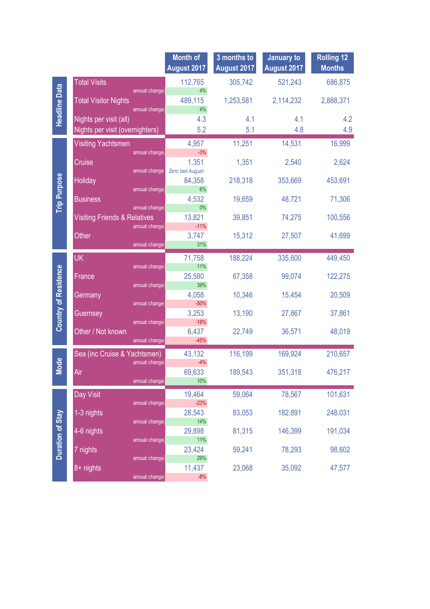|                             |                                         |                                | <b>Month of</b><br>August 2017 | 3 months to<br>August 2017 | January to<br>August 2017 | <b>Rolling 12</b><br><b>Months</b> |
|-----------------------------|-----------------------------------------|--------------------------------|--------------------------------|----------------------------|---------------------------|------------------------------------|
| <b>Headline Data</b>        | <b>Total Visits</b>                     |                                | 112,765                        | 305,742                    | 521,243                   | 686,875                            |
|                             | <b>Total Visitor Nights</b>             | annual change<br>annual change | 4%<br>489,115<br>4%            | 1,253,581                  | 2,114,232                 | 2,888,371                          |
|                             | Nights per visit (all)                  |                                | 4.3                            | 4.1                        | 4.1                       | 4.2                                |
|                             | Nights per visit (overnighters)         |                                | 5.2                            | 5.1                        | 4.8                       | 4.9                                |
|                             | <b>Visiting Yachtsmen</b>               |                                | 4,957                          | 11,251                     | 14,531                    | 16,999                             |
|                             |                                         | annual change                  | $-3%$                          |                            |                           |                                    |
|                             | Cruise                                  | annual change                  | 1,351<br>Zero last August      | 1,351                      | 2,540                     | 2,624                              |
|                             | Holiday                                 |                                | 84,358                         | 218,318                    | 353,669                   | 453,691                            |
|                             |                                         | annual change                  | 6%                             |                            |                           |                                    |
| <b>Trip Purpose</b>         | <b>Business</b>                         | annual change                  | 4,532<br>0%                    | 19,659                     | 48,721                    | 71,306                             |
|                             | <b>Visiting Friends &amp; Relatives</b> |                                | 13,821                         | 39,851                     | 74,275                    | 100,556                            |
|                             |                                         | annual change                  | $-11%$                         |                            |                           |                                    |
|                             | Other                                   | annual change                  | 3,747<br>31%                   | 15,312                     | 27,507                    | 41,699                             |
|                             | <b>UK</b>                               |                                | 71,758                         | 188,224                    | 335,600                   | 449,450                            |
|                             |                                         | annual change                  | 11%                            |                            |                           |                                    |
|                             | France                                  | annual change                  | 25,580<br>39%                  | 67,358                     | 99,074                    | 122,275                            |
| <b>Country of Residence</b> | Germany                                 |                                | 4,058                          | 10,346                     | 15,454                    | 20,509                             |
|                             |                                         | annual change                  | $-50%$                         |                            |                           |                                    |
|                             | Guernsey                                | annual change                  | 3,253<br>$-18%$                | 13,190                     | 27,867                    | 37,861                             |
|                             | Other / Not known                       |                                | 6,437                          | 22,749                     | 36,571                    | 48,019                             |
|                             |                                         | annual change                  | $-45%$                         |                            |                           |                                    |
|                             | Sea (inc Cruise & Yachtsmen)            |                                | 43,132                         | 116,199                    | 169,924                   | 210,657                            |
| <b>Mode</b>                 | Air                                     | annual change                  | $-4%$<br>69,633                | 189,543                    | 351,318                   | 476,217                            |
|                             |                                         | annual change                  | 10%                            |                            |                           |                                    |
|                             | Day Visit                               |                                | 19,464                         | 59,064                     | 78,567                    | 101,631                            |
|                             |                                         | annual change                  | $-23%$                         |                            |                           |                                    |
|                             | 1-3 nights                              | annual change                  | 28,543<br>14%                  | 83,053                     | 182,891                   | 248,031                            |
| <b>Duration of Stay</b>     | 4-6 nights                              |                                | 29,898                         | 81,315                     | 146,399                   | 191,034                            |
|                             |                                         | annual change                  | 11%                            |                            |                           |                                    |
|                             | 7 nights                                | annual change                  | 23,424<br>29%                  | 59,241                     | 78,293                    | 98,602                             |
|                             | 8+ nights                               |                                | 11,437                         | 23,068                     | 35,092                    | 47,577                             |
|                             |                                         | annual change                  | $-8%$                          |                            |                           |                                    |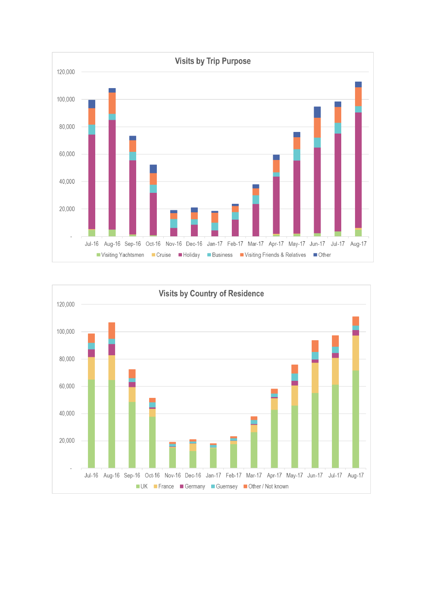